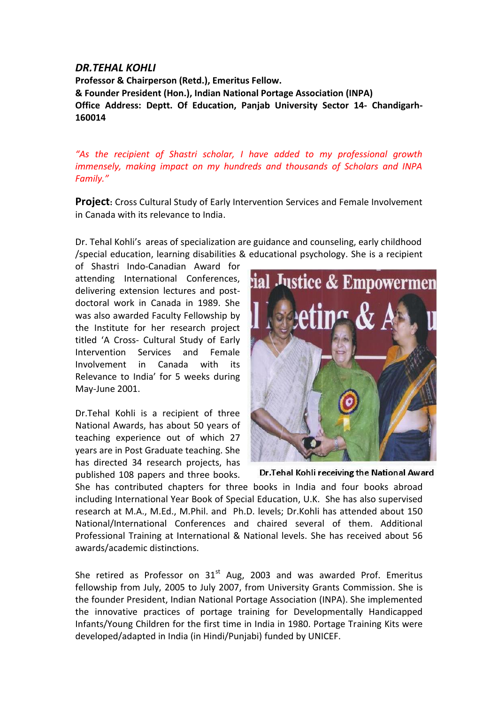## *DR.TEHAL KOHLI*

**Professor & Chairperson (Retd.), Emeritus Fellow. & Founder President (Hon.), Indian National Portage Association (INPA) Office Address: Deptt. Of Education, Panjab University Sector 14- Chandigarh-160014**

*"As the recipient of Shastri scholar, I have added to my professional growth immensely, making impact on my hundreds and thousands of Scholars and INPA Family."*

**Project:** Cross Cultural Study of Early Intervention Services and Female Involvement in Canada with its relevance to India.

Dr. Tehal Kohli's areas of specialization are guidance and counseling, early childhood /special education, learning disabilities & educational psychology. She is a recipient

of Shastri Indo-Canadian Award for attending International Conferences, delivering extension lectures and postdoctoral work in Canada in 1989. She was also awarded Faculty Fellowship by the Institute for her research project titled 'A Cross- Cultural Study of Early Intervention Services and Female Involvement in Canada with its Relevance to India' for 5 weeks during May-June 2001.

Dr.Tehal Kohli is a recipient of three National Awards, has about 50 years of teaching experience out of which 27 years are in Post Graduate teaching. She has directed 34 research projects, has published 108 papers and three books.



Dr. Tehal Kohli receiving the National Award

She has contributed chapters for three books in India and four books abroad including International Year Book of Special Education, U.K. She has also supervised research at M.A., M.Ed., M.Phil. and Ph.D. levels; Dr.Kohli has attended about 150 National/International Conferences and chaired several of them. Additional Professional Training at International & National levels. She has received about 56 awards/academic distinctions.

She retired as Professor on  $31<sup>st</sup>$  Aug, 2003 and was awarded Prof. Emeritus fellowship from July, 2005 to July 2007, from University Grants Commission. She is the founder President, Indian National Portage Association (INPA). She implemented the innovative practices of portage training for Developmentally Handicapped Infants/Young Children for the first time in India in 1980. Portage Training Kits were developed/adapted in India (in Hindi/Punjabi) funded by UNICEF.